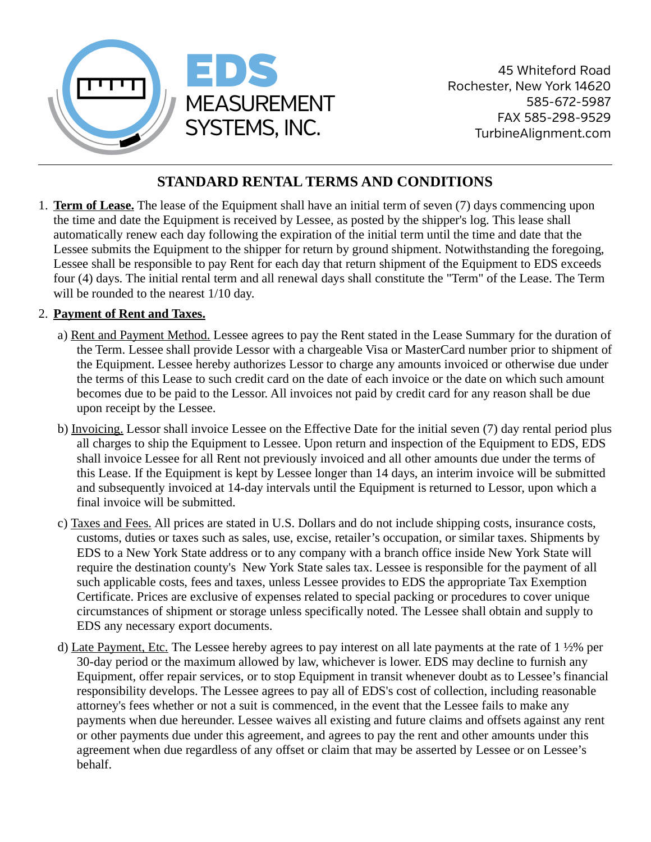

45 Whiteford Road Rochester, New York 14620 585-672-5987 FAX 585-298-9529 TurbineAlignment.com

# **STANDARD RENTAL TERMS AND CONDITIONS**

1. **Term of Lease.** The lease of the Equipment shall have an initial term of seven (7) days commencing upon the time and date the Equipment is received by Lessee, as posted by the shipper's log. This lease shall automatically renew each day following the expiration of the initial term until the time and date that the Lessee submits the Equipment to the shipper for return by ground shipment. Notwithstanding the foregoing, Lessee shall be responsible to pay Rent for each day that return shipment of the Equipment to EDS exceeds four (4) days. The initial rental term and all renewal days shall constitute the "Term" of the Lease. The Term will be rounded to the nearest 1/10 day.

### 2. **Payment of Rent and Taxes.**

- a) Rent and Payment Method. Lessee agrees to pay the Rent stated in the Lease Summary for the duration of the Term. Lessee shall provide Lessor with a chargeable Visa or MasterCard number prior to shipment of the Equipment. Lessee hereby authorizes Lessor to charge any amounts invoiced or otherwise due under the terms of this Lease to such credit card on the date of each invoice or the date on which such amount becomes due to be paid to the Lessor. All invoices not paid by credit card for any reason shall be due upon receipt by the Lessee.
- b) Invoicing. Lessor shall invoice Lessee on the Effective Date for the initial seven (7) day rental period plus all charges to ship the Equipment to Lessee. Upon return and inspection of the Equipment to EDS, EDS shall invoice Lessee for all Rent not previously invoiced and all other amounts due under the terms of this Lease. If the Equipment is kept by Lessee longer than 14 days, an interim invoice will be submitted and subsequently invoiced at 14-day intervals until the Equipment is returned to Lessor, upon which a final invoice will be submitted.
- c) Taxes and Fees. All prices are stated in U.S. Dollars and do not include shipping costs, insurance costs, customs, duties or taxes such as sales, use, excise, retailer's occupation, or similar taxes. Shipments by EDS to a New York State address or to any company with a branch office inside New York State will require the destination county's New York State sales tax. Lessee is responsible for the payment of all such applicable costs, fees and taxes, unless Lessee provides to EDS the appropriate Tax Exemption Certificate. Prices are exclusive of expenses related to special packing or procedures to cover unique circumstances of shipment or storage unless specifically noted. The Lessee shall obtain and supply to EDS any necessary export documents.
- d) Late Payment, Etc. The Lessee hereby agrees to pay interest on all late payments at the rate of 1 ½% per 30-day period or the maximum allowed by law, whichever is lower. EDS may decline to furnish any Equipment, offer repair services, or to stop Equipment in transit whenever doubt as to Lessee's financial responsibility develops. The Lessee agrees to pay all of EDS's cost of collection, including reasonable attorney's fees whether or not a suit is commenced, in the event that the Lessee fails to make any payments when due hereunder. Lessee waives all existing and future claims and offsets against any rent or other payments due under this agreement, and agrees to pay the rent and other amounts under this agreement when due regardless of any offset or claim that may be asserted by Lessee or on Lessee's behalf.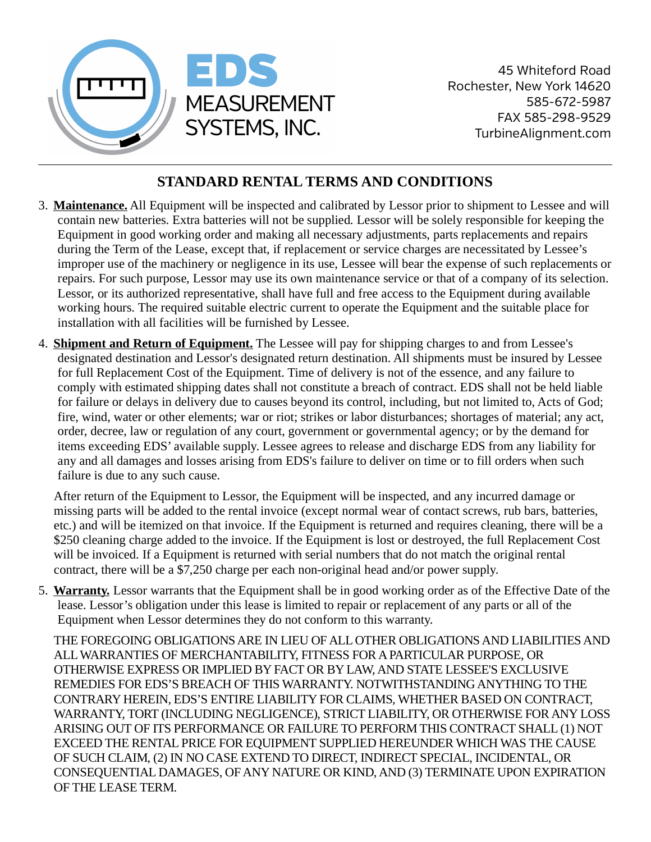

45 Whiteford Road Rochester, New York 14620 585-672-5987 FAX 585-298-9529 TurbineAlignment.com

# **STANDARD RENTAL TERMS AND CONDITIONS**

- 3. **Maintenance.** All Equipment will be inspected and calibrated by Lessor prior to shipment to Lessee and will contain new batteries. Extra batteries will not be supplied. Lessor will be solely responsible for keeping the Equipment in good working order and making all necessary adjustments, parts replacements and repairs during the Term of the Lease, except that, if replacement or service charges are necessitated by Lessee's improper use of the machinery or negligence in its use, Lessee will bear the expense of such replacements or repairs. For such purpose, Lessor may use its own maintenance service or that of a company of its selection. Lessor, or its authorized representative, shall have full and free access to the Equipment during available working hours. The required suitable electric current to operate the Equipment and the suitable place for installation with all facilities will be furnished by Lessee.
- 4. **Shipment and Return of Equipment.** The Lessee will pay for shipping charges to and from Lessee's designated destination and Lessor's designated return destination. All shipments must be insured by Lessee for full Replacement Cost of the Equipment. Time of delivery is not of the essence, and any failure to comply with estimated shipping dates shall not constitute a breach of contract. EDS shall not be held liable for failure or delays in delivery due to causes beyond its control, including, but not limited to, Acts of God; fire, wind, water or other elements; war or riot; strikes or labor disturbances; shortages of material; any act, order, decree, law or regulation of any court, government or governmental agency; or by the demand for items exceeding EDS' available supply. Lessee agrees to release and discharge EDS from any liability for any and all damages and losses arising from EDS's failure to deliver on time or to fill orders when such failure is due to any such cause.

After return of the Equipment to Lessor, the Equipment will be inspected, and any incurred damage or missing parts will be added to the rental invoice (except normal wear of contact screws, rub bars, batteries, etc.) and will be itemized on that invoice. If the Equipment is returned and requires cleaning, there will be a \$250 cleaning charge added to the invoice. If the Equipment is lost or destroyed, the full Replacement Cost will be invoiced. If a Equipment is returned with serial numbers that do not match the original rental contract, there will be a \$7,250 charge per each non-original head and/or power supply.

5. **Warranty.** Lessor warrants that the Equipment shall be in good working order as of the Effective Date of the lease. Lessor's obligation under this lease is limited to repair or replacement of any parts or all of the Equipment when Lessor determines they do not conform to this warranty.

THE FOREGOING OBLIGATIONS ARE IN LIEU OF ALL OTHER OBLIGATIONS AND LIABILITIES AND ALL WARRANTIES OF MERCHANTABILITY, FITNESS FOR A PARTICULAR PURPOSE, OR OTHERWISE EXPRESS OR IMPLIED BY FACT OR BY LAW, AND STATE LESSEE'S EXCLUSIVE REMEDIES FOR EDS'S BREACH OF THIS WARRANTY. NOTWITHSTANDING ANYTHING TO THE CONTRARY HEREIN, EDS'S ENTIRE LIABILITY FOR CLAIMS, WHETHER BASED ON CONTRACT, WARRANTY, TORT (INCLUDING NEGLIGENCE), STRICT LIABILITY, OR OTHERWISE FOR ANY LOSS ARISING OUT OF ITS PERFORMANCE OR FAILURE TO PERFORM THIS CONTRACT SHALL (1) NOT EXCEED THE RENTAL PRICE FOR EQUIPMENT SUPPLIED HEREUNDER WHICH WAS THE CAUSE OF SUCH CLAIM, (2) IN NO CASE EXTEND TO DIRECT, INDIRECT SPECIAL, INCIDENTAL, OR CONSEQUENTIAL DAMAGES, OF ANY NATURE OR KIND, AND (3) TERMINATE UPON EXPIRATION OF THE LEASE TERM.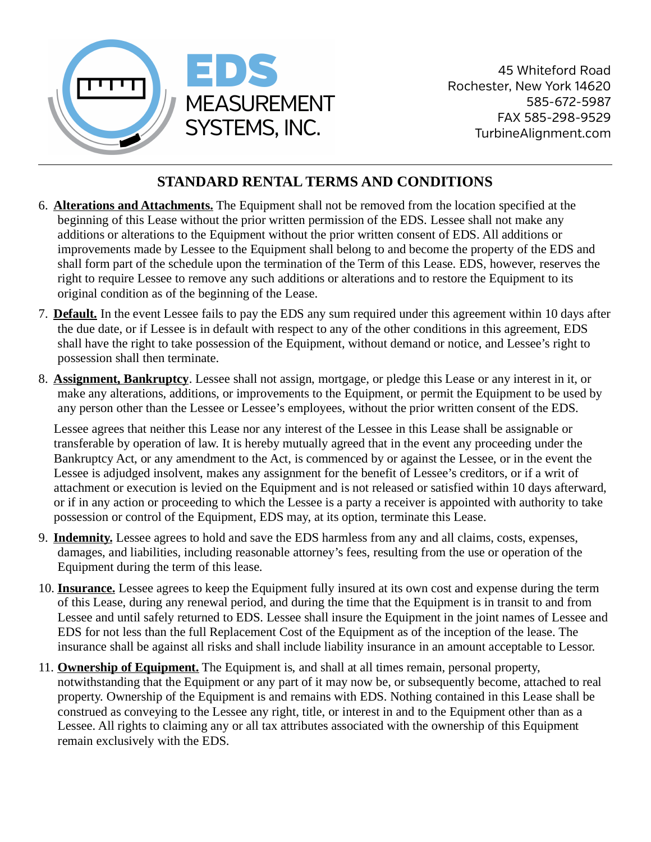

## **STANDARD RENTAL TERMS AND CONDITIONS**

- 6. **Alterations and Attachments.** The Equipment shall not be removed from the location specified at the beginning of this Lease without the prior written permission of the EDS. Lessee shall not make any additions or alterations to the Equipment without the prior written consent of EDS. All additions or improvements made by Lessee to the Equipment shall belong to and become the property of the EDS and shall form part of the schedule upon the termination of the Term of this Lease. EDS, however, reserves the right to require Lessee to remove any such additions or alterations and to restore the Equipment to its original condition as of the beginning of the Lease.
- 7. **Default.** In the event Lessee fails to pay the EDS any sum required under this agreement within 10 days after the due date, or if Lessee is in default with respect to any of the other conditions in this agreement, EDS shall have the right to take possession of the Equipment, without demand or notice, and Lessee's right to possession shall then terminate.
- 8. **Assignment, Bankruptcy**. Lessee shall not assign, mortgage, or pledge this Lease or any interest in it, or make any alterations, additions, or improvements to the Equipment, or permit the Equipment to be used by any person other than the Lessee or Lessee's employees, without the prior written consent of the EDS.

Lessee agrees that neither this Lease nor any interest of the Lessee in this Lease shall be assignable or transferable by operation of law. It is hereby mutually agreed that in the event any proceeding under the Bankruptcy Act, or any amendment to the Act, is commenced by or against the Lessee, or in the event the Lessee is adjudged insolvent, makes any assignment for the benefit of Lessee's creditors, or if a writ of attachment or execution is levied on the Equipment and is not released or satisfied within 10 days afterward, or if in any action or proceeding to which the Lessee is a party a receiver is appointed with authority to take possession or control of the Equipment, EDS may, at its option, terminate this Lease.

- 9. **Indemnity.** Lessee agrees to hold and save the EDS harmless from any and all claims, costs, expenses, damages, and liabilities, including reasonable attorney's fees, resulting from the use or operation of the Equipment during the term of this lease.
- 10. **Insurance.** Lessee agrees to keep the Equipment fully insured at its own cost and expense during the term of this Lease, during any renewal period, and during the time that the Equipment is in transit to and from Lessee and until safely returned to EDS. Lessee shall insure the Equipment in the joint names of Lessee and EDS for not less than the full Replacement Cost of the Equipment as of the inception of the lease. The insurance shall be against all risks and shall include liability insurance in an amount acceptable to Lessor.
- 11. **Ownership of Equipment.** The Equipment is, and shall at all times remain, personal property, notwithstanding that the Equipment or any part of it may now be, or subsequently become, attached to real property. Ownership of the Equipment is and remains with EDS. Nothing contained in this Lease shall be construed as conveying to the Lessee any right, title, or interest in and to the Equipment other than as a Lessee. All rights to claiming any or all tax attributes associated with the ownership of this Equipment remain exclusively with the EDS.